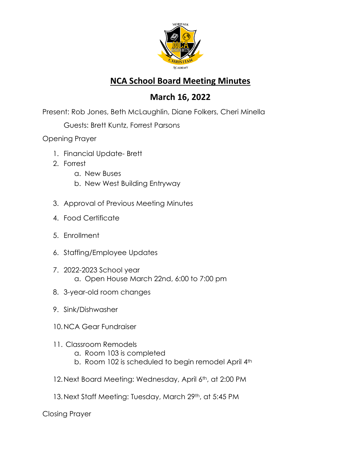

## **NCA School Board Meeting Minutes**

## **March 16, 2022**

Present: Rob Jones, Beth McLaughlin, Diane Folkers, Cheri Minella

Guests: Brett Kuntz, Forrest Parsons

Opening Prayer

- 1. Financial Update- Brett
- 2. Forrest
	- a. New Buses
	- b. New West Building Entryway
- 3. Approval of Previous Meeting Minutes
- 4. Food Certificate
- 5. Enrollment
- 6. Staffing/Employee Updates
- 7. 2022-2023 School year a. Open House March 22nd, 6:00 to 7:00 pm
- 8. 3-year-old room changes
- 9. Sink/Dishwasher
- 10.NCA Gear Fundraiser
- 11. Classroom Remodels
	- a. Room 103 is completed
	- b. Room 102 is scheduled to begin remodel April 4th
- 12. Next Board Meeting: Wednesday, April 6th, at 2:00 PM
- 13. Next Staff Meeting: Tuesday, March 29th, at 5:45 PM

Closing Prayer